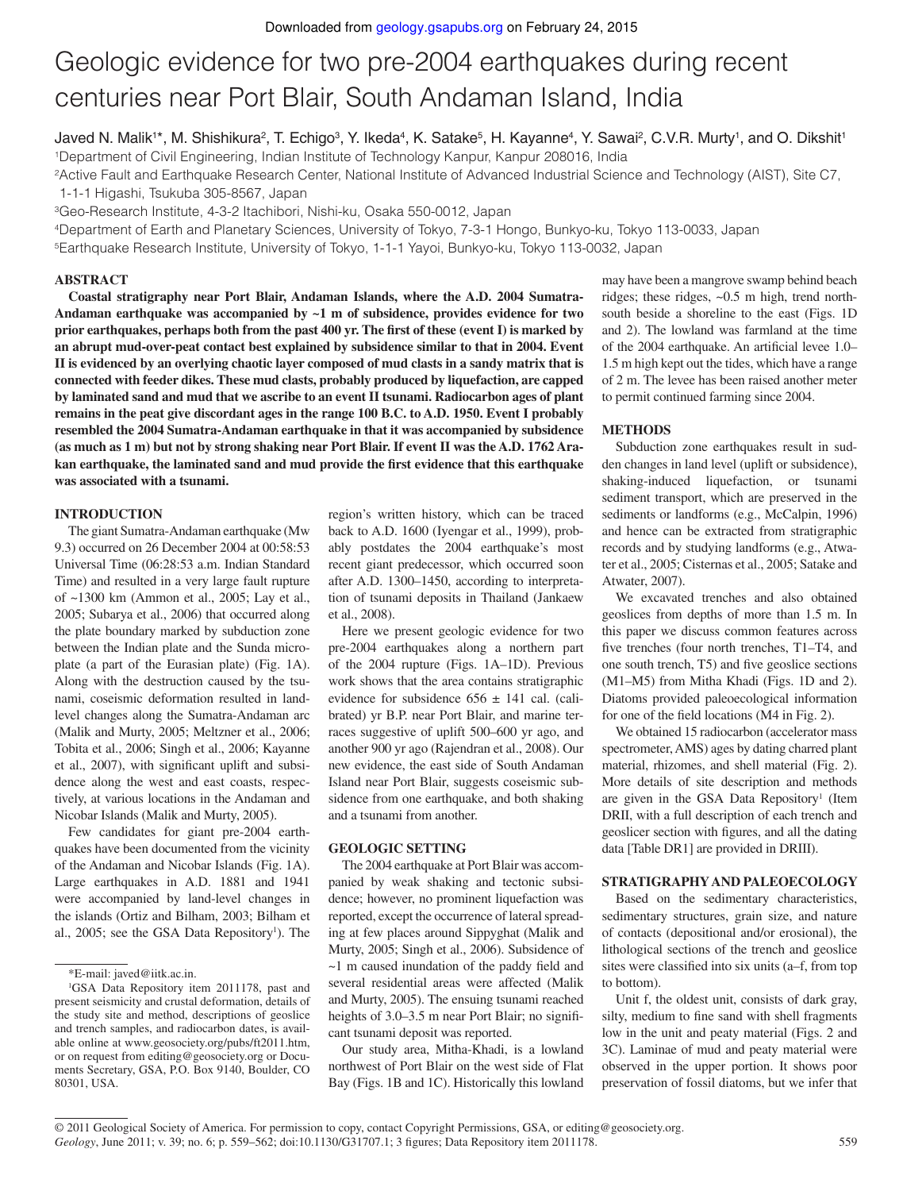# Geologic evidence for two pre-2004 earthquakes during recent centuries near Port Blair, South Andaman Island, India

Javed N. Malik1\*, M. Shishikura², T. Echigo<sup>3</sup>, Y. Ikeda<sup>4</sup>, K. Satake<sup>5</sup>, H. Kayanne4, Y. Sawai², C.V.R. Murty1, and O. Dikshit1 <sup>1</sup>Department of Civil Engineering, Indian Institute of Technology Kanpur, Kanpur 208016, India

<sup>2</sup>Active Fault and Earthquake Research Center, National Institute of Advanced Industrial Science and Technology (AIST), Site C7, 1-1-1 Higashi, Tsukuba 305-8567, Japan

<sup>3</sup>Geo-Research Institute, 4-3-2 Itachibori, Nishi-ku, Osaka 550-0012, Japan

<sup>4</sup>Department of Earth and Planetary Sciences, University of Tokyo, 7-3-1 Hongo, Bunkyo-ku, Tokyo 113-0033, Japan

<sup>5</sup>Earthquake Research Institute, University of Tokyo, 1-1-1 Yayoi, Bunkyo-ku, Tokyo 113-0032, Japan

# **ABSTRACT**

**Coastal stratigraphy near Port Blair, Andaman Islands, where the A.D. 2004 Sumatra-Andaman earthquake was accompanied by ~1 m of subsidence, provides evidence for two prior earthquakes, perhaps both from the past 400 yr. The first of these (event I) is marked by an abrupt mud-over-peat contact best explained by subsidence similar to that in 2004. Event II is evidenced by an overlying chaotic layer composed of mud clasts in a sandy matrix that is connected with feeder dikes. These mud clasts, probably produced by liquefaction, are capped by laminated sand and mud that we ascribe to an event II tsunami. Radiocarbon ages of plant remains in the peat give discordant ages in the range 100 B.C. to A.D. 1950. Event I probably resembled the 2004 Sumatra-Andaman earthquake in that it was accompanied by subsidence (as much as 1 m) but not by strong shaking near Port Blair. If event II was the A.D. 1762 Ara**kan earthquake, the laminated sand and mud provide the first evidence that this earthquake **was associated with a tsunami.**

#### **INTRODUCTION**

The giant Sumatra-Andaman earthquake (Mw 9.3) occurred on 26 December 2004 at 00:58:53 Universal Time (06:28:53 a.m. Indian Standard Time) and resulted in a very large fault rupture of ~1300 km (Ammon et al., 2005; Lay et al., 2005; Subarya et al., 2006) that occurred along the plate boundary marked by subduction zone between the Indian plate and the Sunda microplate (a part of the Eurasian plate) (Fig. 1A). Along with the destruction caused by the tsunami, coseismic deformation resulted in landlevel changes along the Sumatra-Andaman arc (Malik and Murty, 2005; Meltzner et al., 2006; Tobita et al., 2006; Singh et al., 2006; Kayanne et al., 2007), with significant uplift and subsidence along the west and east coasts, respectively, at various locations in the Andaman and Nicobar Islands (Malik and Murty, 2005).

Few candidates for giant pre-2004 earthquakes have been documented from the vicinity of the Andaman and Nicobar Islands (Fig. 1A). Large earthquakes in A.D. 1881 and 1941 were accompanied by land-level changes in the islands (Ortiz and Bilham, 2003; Bilham et al., 2005; see the GSA Data Repository<sup>1</sup>). The

region's written history, which can be traced back to A.D. 1600 (Iyengar et al., 1999), probably postdates the 2004 earthquake's most recent giant predecessor, which occurred soon after A.D. 1300–1450, according to interpretation of tsunami deposits in Thailand (Jankaew et al., 2008).

Here we present geologic evidence for two pre-2004 earthquakes along a northern part of the 2004 rupture (Figs. 1A–1D). Previous work shows that the area contains stratigraphic evidence for subsidence  $656 \pm 141$  cal. (calibrated) yr B.P. near Port Blair, and marine terraces suggestive of uplift 500–600 yr ago, and another 900 yr ago (Rajendran et al., 2008). Our new evidence, the east side of South Andaman Island near Port Blair, suggests coseismic subsidence from one earthquake, and both shaking and a tsunami from another.

### **GEOLOGIC SETTING**

The 2004 earthquake at Port Blair was accompanied by weak shaking and tectonic subsidence; however, no prominent liquefaction was reported, except the occurrence of lateral spreading at few places around Sippyghat (Malik and Murty, 2005; Singh et al., 2006). Subsidence of  $\sim$ 1 m caused inundation of the paddy field and several residential areas were affected (Malik and Murty, 2005). The ensuing tsunami reached heights of 3.0–3.5 m near Port Blair; no significant tsunami deposit was reported.

Our study area, Mitha-Khadi, is a lowland northwest of Port Blair on the west side of Flat Bay (Figs. 1B and 1C). Historically this lowland

may have been a mangrove swamp behind beach ridges; these ridges, ~0.5 m high, trend northsouth beside a shoreline to the east (Figs. 1D and 2). The lowland was farmland at the time of the 2004 earthquake. An artificial levee 1.0– 1.5 m high kept out the tides, which have a range of 2 m. The levee has been raised another meter to permit continued farming since 2004.

# **METHODS**

Subduction zone earthquakes result in sudden changes in land level (uplift or subsidence), shaking-induced liquefaction, or tsunami sediment transport, which are preserved in the sediments or landforms (e.g., McCalpin, 1996) and hence can be extracted from stratigraphic records and by studying landforms (e.g., Atwater et al., 2005; Cisternas et al., 2005; Satake and Atwater, 2007).

We excavated trenches and also obtained geoslices from depths of more than 1.5 m. In this paper we discuss common features across five trenches (four north trenches, T1–T4, and one south trench, T5) and five geoslice sections (M1–M5) from Mitha Khadi (Figs. 1D and 2). Diatoms provided paleoecological information for one of the field locations  $(M4$  in Fig. 2).

We obtained 15 radiocarbon (accelerator mass spectrometer, AMS) ages by dating charred plant material, rhizomes, and shell material (Fig. 2). More details of site description and methods are given in the GSA Data Repository<sup>1</sup> (Item DRII, with a full description of each trench and geoslicer section with figures, and all the dating data [Table DR1] are provided in DRIII).

# **STRATIGRAPHY AND PALEOECOLOGY**

Based on the sedimentary characteristics, sedimentary structures, grain size, and nature of contacts (depositional and/or erosional), the lithological sections of the trench and geoslice sites were classified into six units (a–f, from top to bottom).

Unit f, the oldest unit, consists of dark gray, silty, medium to fine sand with shell fragments low in the unit and peaty material (Figs. 2 and 3C). Laminae of mud and peaty material were observed in the upper portion. It shows poor preservation of fossil diatoms, but we infer that

<sup>\*</sup>E-mail: javed@iitk.ac.in.

<sup>&</sup>lt;sup>1</sup>GSA Data Repository item 2011178, past and present seismicity and crustal deformation, details of the study site and method, descriptions of geoslice and trench samples, and radiocarbon dates, is available online at www.geosociety.org/pubs/ft2011.htm, or on request from editing@geosociety.org or Documents Secretary, GSA, P.O. Box 9140, Boulder, CO 80301, USA.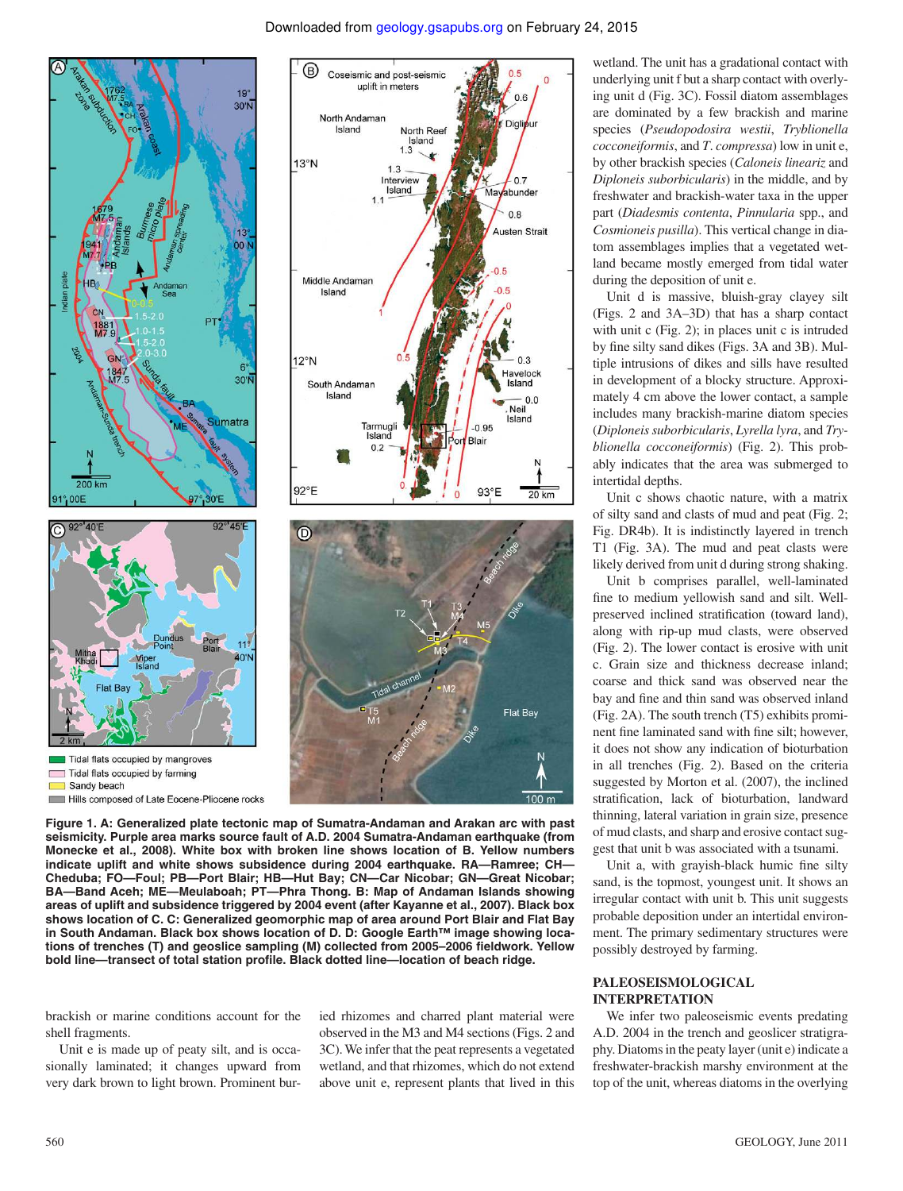

wetland. The unit has a gradational contact with underlying unit f but a sharp contact with overlying unit d (Fig. 3C). Fossil diatom assemblages are dominated by a few brackish and marine species (*Pseudopodosira westii*, *Tryblionella cocconeiformis*, and *T*. *compressa*) low in unit e, by other brackish species (*Caloneis lineariz* and *Diploneis suborbicularis*) in the middle, and by freshwater and brackish-water taxa in the upper part (*Diadesmis contenta*, *Pinnularia* spp., and *Cosmioneis pusilla*). This vertical change in diatom assemblages implies that a vegetated wetland became mostly emerged from tidal water during the deposition of unit e.

Unit d is massive, bluish-gray clayey silt (Figs. 2 and 3A–3D) that has a sharp contact with unit c (Fig. 2); in places unit c is intruded by fine silty sand dikes (Figs. 3A and 3B). Multiple intrusions of dikes and sills have resulted in development of a blocky structure. Approximately 4 cm above the lower contact, a sample includes many brackish-marine diatom species (*Diploneis suborbicularis*, *Lyrella lyra*, and *Tryblionella cocconeiformis*) (Fig. 2). This probably indicates that the area was submerged to intertidal depths.

Unit c shows chaotic nature, with a matrix of silty sand and clasts of mud and peat (Fig. 2; Fig. DR4b). It is indistinctly layered in trench T1 (Fig. 3A). The mud and peat clasts were likely derived from unit d during strong shaking.

Unit b comprises parallel, well-laminated fine to medium yellowish sand and silt. Wellpreserved inclined stratification (toward land), along with rip-up mud clasts, were observed (Fig. 2). The lower contact is erosive with unit c. Grain size and thickness decrease inland; coarse and thick sand was observed near the bay and fine and thin sand was observed inland (Fig. 2A). The south trench (T5) exhibits prominent fine laminated sand with fine silt; however, it does not show any indication of bioturbation in all trenches (Fig. 2). Based on the criteria suggested by Morton et al. (2007), the inclined stratification, lack of bioturbation, landward thinning, lateral variation in grain size, presence of mud clasts, and sharp and erosive contact suggest that unit b was associated with a tsunami.

Unit a, with grayish-black humic fine silty sand, is the topmost, youngest unit. It shows an irregular contact with unit b. This unit suggests probable deposition under an intertidal environment. The primary sedimentary structures were possibly destroyed by farming.

# **PALEOSEISMOLOGICAL INTERPRETATION**

We infer two paleoseismic events predating A.D. 2004 in the trench and geoslicer stratigraphy. Diatoms in the peaty layer (unit e) indicate a freshwater-brackish marshy environment at the top of the unit, whereas diatoms in the overlying

**Figure 1. A: Generalized plate tectonic map of Sumatra-Andaman and Arakan arc with past seismicity. Purple area marks source fault of A.D. 2004 Sumatra-Andaman earthquake (from Monecke et al., 2008). White box with broken line shows location of B. Yellow numbers indicate uplift and white shows subsidence during 2004 earthquake. RA—Ramree; CH— Cheduba; FO—Foul; PB—Port Blair; HB—Hut Bay; CN—Car Nicobar; GN—Great Nicobar; BA—Band Aceh; ME—Meulaboah; PT—Phra Thong. B: Map of Andaman Islands showing areas of uplift and subsidence triggered by 2004 event (after Kayanne et al., 2007). Black box shows location of C. C: Generalized geomorphic map of area around Port Blair and Flat Bay in South Andaman. Black box shows location of D. D: Google Earth™ image showing loca**tions of trenches (T) and geoslice sampling (M) collected from 2005-2006 fieldwork. Yellow bold line-transect of total station profile. Black dotted line-location of beach ridge.

brackish or marine conditions account for the shell fragments.

Unit e is made up of peaty silt, and is occasionally laminated; it changes upward from very dark brown to light brown. Prominent buried rhizomes and charred plant material were observed in the M3 and M4 sections (Figs. 2 and 3C). We infer that the peat represents a vegetated wetland, and that rhizomes, which do not extend above unit e, represent plants that lived in this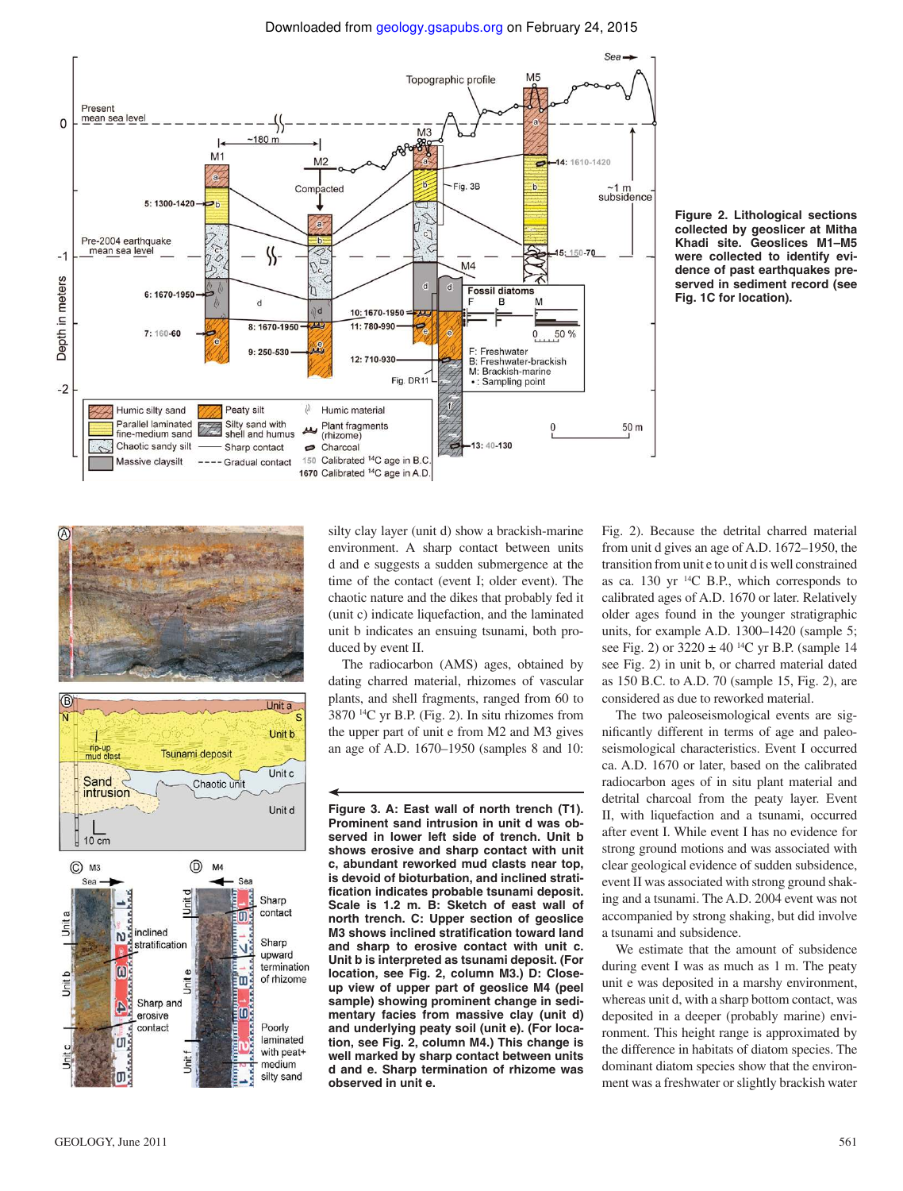Downloaded from geology.gsapubs.org on February 24, 2015



**Figure 2. Lithological sections collected by geoslicer at Mitha Khadi site. Geoslices M1–M5 were collected to identify evidence of past earthquakes preserved in sediment record (see Fig. 1C for location).**





silty clay layer (unit d) show a brackish-marine environment. A sharp contact between units d and e suggests a sudden submergence at the time of the contact (event I; older event). The chaotic nature and the dikes that probably fed it (unit c) indicate liquefaction, and the laminated unit b indicates an ensuing tsunami, both produced by event II.

The radiocarbon (AMS) ages, obtained by dating charred material, rhizomes of vascular plants, and shell fragments, ranged from 60 to 3870 14C yr B.P. (Fig. 2). In situ rhizomes from the upper part of unit e from M2 and M3 gives an age of A.D. 1670–1950 (samples 8 and 10:

**Figure 3. A: East wall of north trench (T1). Prominent sand intrusion in unit d was observed in lower left side of trench. Unit b shows erosive and sharp contact with unit c, abundant reworked mud clasts near top, is devoid of bioturbation, and inclined stratifi cation indicates probable tsunami deposit. Scale is 1.2 m. B: Sketch of east wall of north trench. C: Upper section of geoslice M3 shows inclined stratification toward land and sharp to erosive contact with unit c. Unit b is interpreted as tsunami deposit. (For location, see Fig. 2, column M3.) D: Closeup view of upper part of geoslice M4 (peel sample) showing prominent change in sedimentary facies from massive clay (unit d) and underlying peaty soil (unit e). (For location, see Fig. 2, column M4.) This change is well marked by sharp contact between units d and e. Sharp termination of rhizome was observed in unit e.**

Fig. 2). Because the detrital charred material from unit d gives an age of A.D. 1672–1950, the transition from unit e to unit d is well constrained as ca. 130 yr 14C B.P., which corresponds to calibrated ages of A.D. 1670 or later. Relatively older ages found in the younger stratigraphic units, for example A.D. 1300–1420 (sample 5; see Fig. 2) or  $3220 \pm 40^{14}$ C yr B.P. (sample 14 see Fig. 2) in unit b, or charred material dated as 150 B.C. to A.D. 70 (sample 15, Fig. 2), are considered as due to reworked material.

The two paleoseismological events are significantly different in terms of age and paleoseismological characteristics. Event I occurred ca. A.D. 1670 or later, based on the calibrated radiocarbon ages of in situ plant material and detrital charcoal from the peaty layer. Event II, with liquefaction and a tsunami, occurred after event I. While event I has no evidence for strong ground motions and was associated with clear geological evidence of sudden subsidence, event II was associated with strong ground shaking and a tsunami. The A.D. 2004 event was not accompanied by strong shaking, but did involve a tsunami and subsidence.

We estimate that the amount of subsidence during event I was as much as 1 m. The peaty unit e was deposited in a marshy environment, whereas unit d, with a sharp bottom contact, was deposited in a deeper (probably marine) environment. This height range is approximated by the difference in habitats of diatom species. The dominant diatom species show that the environment was a freshwater or slightly brackish water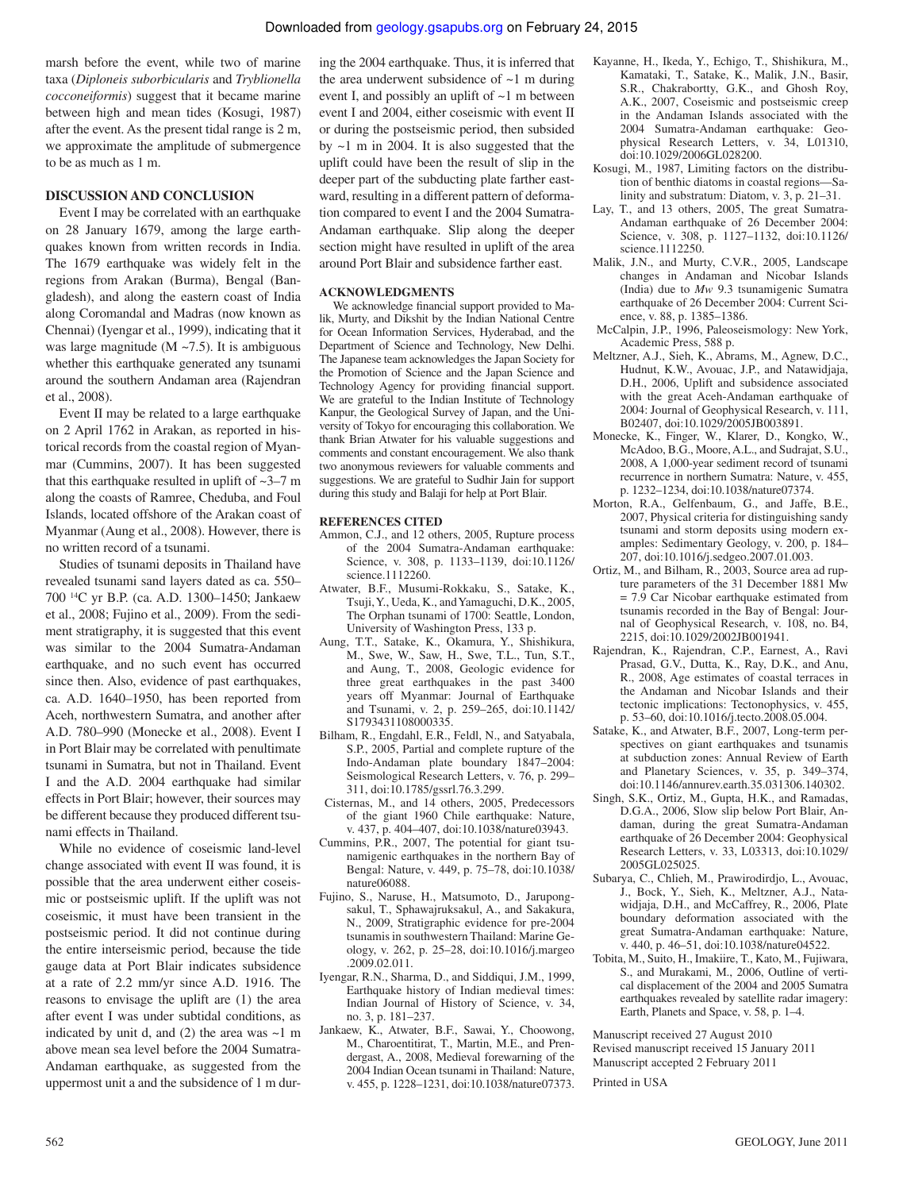marsh before the event, while two of marine taxa (*Diploneis suborbicularis* and *Tryblionella cocconeiformis*) suggest that it became marine between high and mean tides (Kosugi, 1987) after the event. As the present tidal range is 2 m, we approximate the amplitude of submergence to be as much as 1 m.

# **DISCUSSION AND CONCLUSION**

Event I may be correlated with an earthquake on 28 January 1679, among the large earthquakes known from written records in India. The 1679 earthquake was widely felt in the regions from Arakan (Burma), Bengal (Bangladesh), and along the eastern coast of India along Coromandal and Madras (now known as Chennai) (Iyengar et al., 1999), indicating that it was large magnitude ( $M \sim 7.5$ ). It is ambiguous whether this earthquake generated any tsunami around the southern Andaman area (Rajendran et al., 2008).

Event II may be related to a large earthquake on 2 April 1762 in Arakan, as reported in historical records from the coastal region of Myanmar (Cummins, 2007). It has been suggested that this earthquake resulted in uplift of  $\sim$ 3–7 m along the coasts of Ramree, Cheduba, and Foul Islands, located offshore of the Arakan coast of Myanmar (Aung et al., 2008). However, there is no written record of a tsunami.

Studies of tsunami deposits in Thailand have revealed tsunami sand layers dated as ca. 550– 700 14C yr B.P. (ca. A.D. 1300–1450; Jankaew et al., 2008; Fujino et al., 2009). From the sediment stratigraphy, it is suggested that this event was similar to the 2004 Sumatra-Andaman earthquake, and no such event has occurred since then. Also, evidence of past earthquakes, ca. A.D. 1640–1950, has been reported from Aceh, northwestern Sumatra, and another after A.D. 780–990 (Monecke et al., 2008). Event I in Port Blair may be correlated with penultimate tsunami in Sumatra, but not in Thailand. Event I and the A.D. 2004 earthquake had similar effects in Port Blair; however, their sources may be different because they produced different tsunami effects in Thailand.

While no evidence of coseismic land-level change associated with event II was found, it is possible that the area underwent either coseismic or postseismic uplift. If the uplift was not coseismic, it must have been transient in the postseismic period. It did not continue during the entire interseismic period, because the tide gauge data at Port Blair indicates subsidence at a rate of 2.2 mm/yr since A.D. 1916. The reasons to envisage the uplift are (1) the area after event I was under subtidal conditions, as indicated by unit d, and  $(2)$  the area was  $\sim$ 1 m above mean sea level before the 2004 Sumatra-Andaman earthquake, as suggested from the uppermost unit a and the subsidence of 1 m during the 2004 earthquake. Thus, it is inferred that the area underwent subsidence of  $\sim$ 1 m during event I, and possibly an uplift of  $\sim$ 1 m between event I and 2004, either coseismic with event II or during the postseismic period, then subsided by  $\sim$ 1 m in 2004. It is also suggested that the uplift could have been the result of slip in the deeper part of the subducting plate farther eastward, resulting in a different pattern of deformation compared to event I and the 2004 Sumatra-Andaman earthquake. Slip along the deeper section might have resulted in uplift of the area around Port Blair and subsidence farther east.

# **ACKNOWLEDGMENTS**

We acknowledge financial support provided to Malik, Murty, and Dikshit by the Indian National Centre for Ocean Information Services, Hyderabad, and the Department of Science and Technology, New Delhi. The Japanese team acknowledges the Japan Society for the Promotion of Science and the Japan Science and Technology Agency for providing financial support. We are grateful to the Indian Institute of Technology Kanpur, the Geological Survey of Japan, and the University of Tokyo for encouraging this collaboration. We thank Brian Atwater for his valuable suggestions and comments and constant encouragement. We also thank two anonymous reviewers for valuable comments and suggestions. We are grateful to Sudhir Jain for support during this study and Balaji for help at Port Blair.

#### **REFERENCES CITED**

- Ammon, C.J., and 12 others, 2005, Rupture process of the 2004 Sumatra-Andaman earthquake: Science, v. 308, p. 1133–1139, doi:10.1126/ science.1112260.
- Atwater, B.F., Musumi-Rokkaku, S., Satake, K., Tsuji, Y., Ueda, K., and Yamaguchi, D.K., 2005, The Orphan tsunami of 1700: Seattle, London, University of Washington Press, 133 p.
- Aung, T.T., Satake, K., Okamura, Y., Shishikura, M., Swe, W., Saw, H., Swe, T.L., Tun, S.T., and Aung, T., 2008, Geologic evidence for three great earthquakes in the past 3400 years off Myanmar: Journal of Earthquake and Tsunami, v. 2, p. 259–265, doi:10.1142/ S1793431108000335.
- Bilham, R., Engdahl, E.R., Feldl, N., and Satyabala, S.P., 2005, Partial and complete rupture of the Indo-Andaman plate boundary 1847–2004: Seismological Research Letters, v. 76, p. 299– 311, doi:10.1785/gssrl.76.3.299.
- Cisternas, M., and 14 others, 2005, Predecessors of the giant 1960 Chile earthquake: Nature, v. 437, p. 404–407, doi:10.1038/nature03943.
- Cummins, P.R., 2007, The potential for giant tsunamigenic earthquakes in the northern Bay of Bengal: Nature, v. 449, p. 75–78, doi:10.1038/ nature06088.
- Fujino, S., Naruse, H., Matsumoto, D., Jarupongsakul, T., Sphawajruksakul, A., and Sakakura, N., 2009, Stratigraphic evidence for pre-2004 tsunamis in southwestern Thailand: Marine Geology, v. 262, p. 25–28, doi:10.1016/j.margeo .2009.02.011.
- Iyengar, R.N., Sharma, D., and Siddiqui, J.M., 1999, Earthquake history of Indian medieval times: Indian Journal of History of Science, v. 34, no. 3, p. 181–237.
- Jankaew, K., Atwater, B.F., Sawai, Y., Choowong, M., Charoentitirat, T., Martin, M.E., and Prendergast, A., 2008, Medieval forewarning of the 2004 Indian Ocean tsunami in Thailand: Nature, v. 455, p. 1228–1231, doi:10.1038/nature07373.
- Kayanne, H., Ikeda, Y., Echigo, T., Shishikura, M., Kamataki, T., Satake, K., Malik, J.N., Basir, S.R., Chakrabortty, G.K., and Ghosh Roy, A.K., 2007, Coseismic and postseismic creep in the Andaman Islands associated with the 2004 Sumatra-Andaman earthquake: Geophysical Research Letters, v. 34, L01310, doi:10.1029/2006GL028200.
- Kosugi, M., 1987, Limiting factors on the distribution of benthic diatoms in coastal regions—Salinity and substratum: Diatom, v. 3, p. 21–31.
- Lay, T., and 13 others, 2005, The great Sumatra-Andaman earthquake of 26 December 2004: Science, v. 308, p. 1127–1132, doi:10.1126/ science.1112250.
- Malik, J.N., and Murty, C.V.R., 2005, Landscape changes in Andaman and Nicobar Islands (India) due to *Mw* 9.3 tsunamigenic Sumatra earthquake of 26 December 2004: Current Science, v. 88, p. 1385–1386.
- McCalpin, J.P., 1996, Paleoseismology: New York, Academic Press, 588 p.
- Meltzner, A.J., Sieh, K., Abrams, M., Agnew, D.C., Hudnut, K.W., Avouac, J.P., and Natawidjaja, D.H., 2006, Uplift and subsidence associated with the great Aceh-Andaman earthquake of 2004: Journal of Geophysical Research, v. 111, B02407, doi:10.1029/2005JB003891.
- Monecke, K., Finger, W., Klarer, D., Kongko, W., McAdoo, B.G., Moore, A.L., and Sudrajat, S.U., 2008, A 1,000-year sediment record of tsunami recurrence in northern Sumatra: Nature, v. 455, p. 1232–1234, doi:10.1038/nature07374.
- Morton, R.A., Gelfenbaum, G., and Jaffe, B.E., 2007, Physical criteria for distinguishing sandy tsunami and storm deposits using modern examples: Sedimentary Geology, v. 200, p. 184– 207, doi:10.1016/j.sedgeo.2007.01.003.
- Ortiz, M., and Bilham, R., 2003, Source area ad rupture parameters of the 31 December 1881 Mw  $= 7.9$  Car Nicobar earthquake estimated from tsunamis recorded in the Bay of Bengal: Journal of Geophysical Research, v. 108, no. B4, 2215, doi:10.1029/2002JB001941.
- Rajendran, K., Rajendran, C.P., Earnest, A., Ravi Prasad, G.V., Dutta, K., Ray, D.K., and Anu, R., 2008, Age estimates of coastal terraces in the Andaman and Nicobar Islands and their tectonic implications: Tectonophysics, v. 455, p. 53–60, doi:10.1016/j.tecto.2008.05.004.
- Satake, K., and Atwater, B.F., 2007, Long-term perspectives on giant earthquakes and tsunamis at subduction zones: Annual Review of Earth and Planetary Sciences, v. 35, p. 349–374, doi:10.1146/annurev.earth.35.031306.140302.
- Singh, S.K., Ortiz, M., Gupta, H.K., and Ramadas, D.G.A., 2006, Slow slip below Port Blair, Andaman, during the great Sumatra-Andaman earthquake of 26 December 2004: Geophysical Research Letters, v. 33, L03313, doi:10.1029/ 2005GL025025.
- Subarya, C., Chlieh, M., Prawirodirdjo, L., Avouac, J., Bock, Y., Sieh, K., Meltzner, A.J., Natawidjaja, D.H., and McCaffrey, R., 2006, Plate boundary deformation associated with the great Sumatra-Andaman earthquake: Nature, v. 440, p. 46–51, doi:10.1038/nature04522.
- Tobita, M., Suito, H., Imakiire, T., Kato, M., Fujiwara, S., and Murakami, M., 2006, Outline of vertical displacement of the 2004 and 2005 Sumatra earthquakes revealed by satellite radar imagery: Earth, Planets and Space, v. 58, p. 1–4.

Manuscript received 27 August 2010 Revised manuscript received 15 January 2011 Manuscript accepted 2 February 2011

Printed in USA